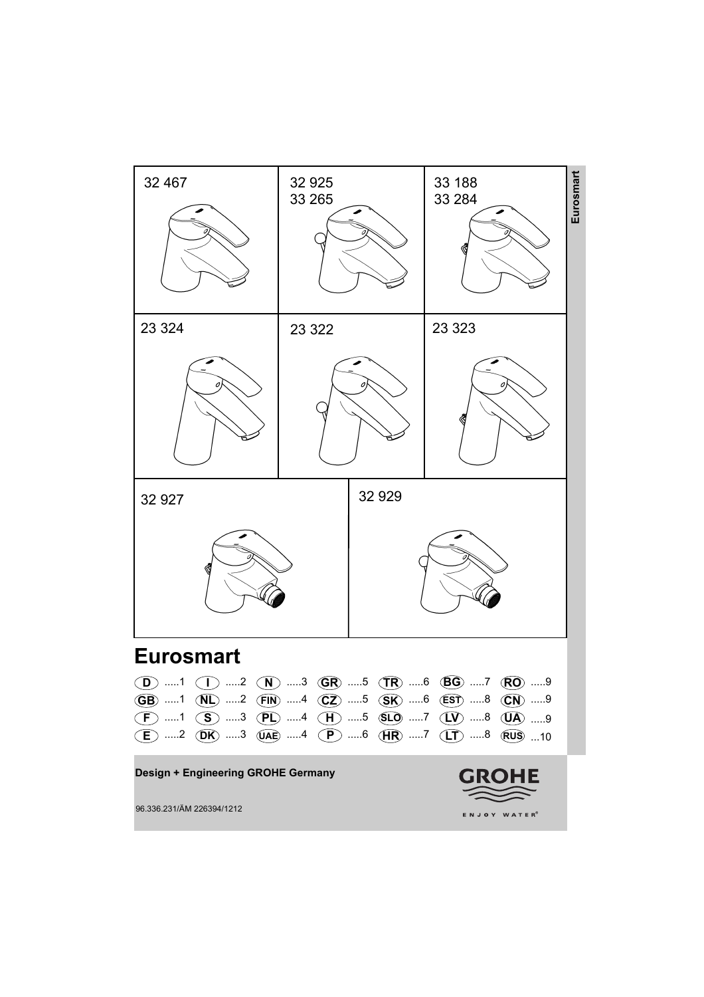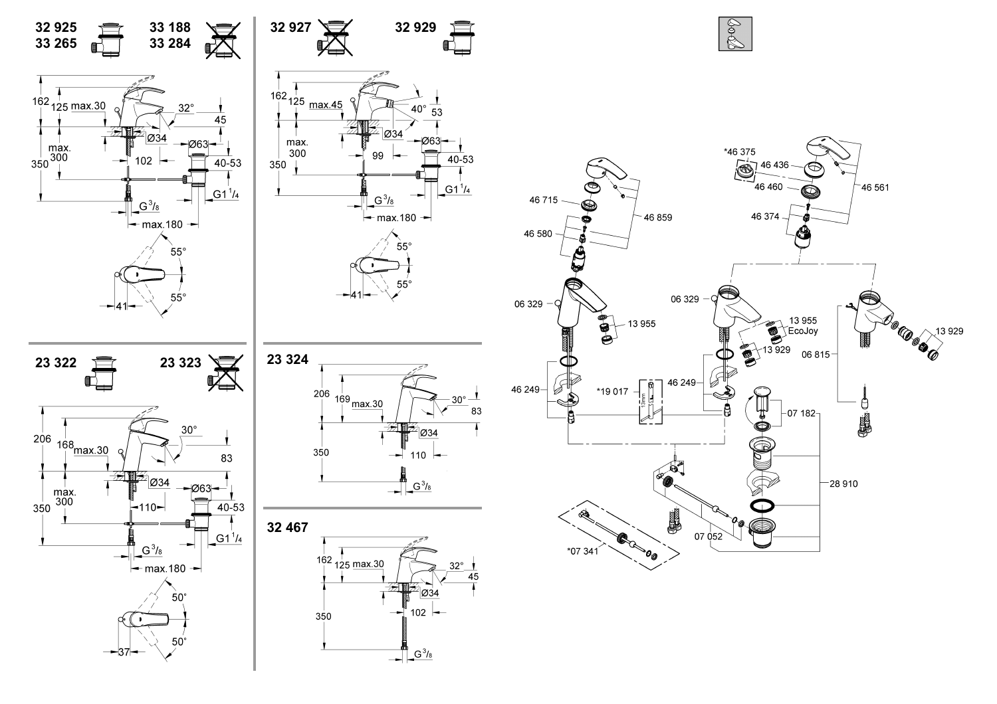

D<sub>OCOOK</sub>13

13 929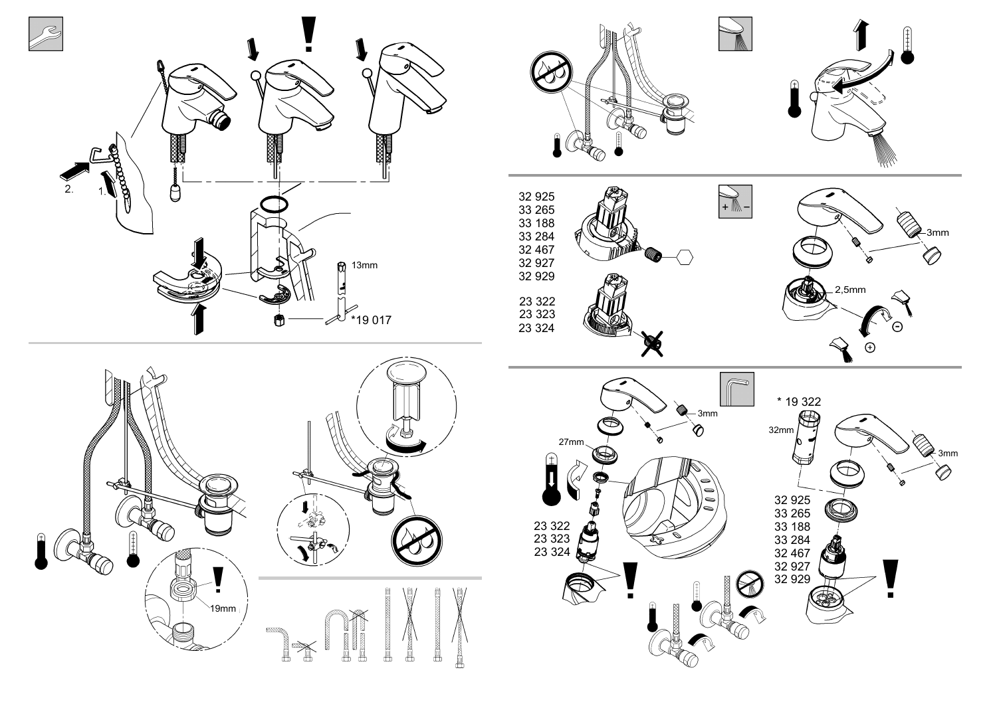

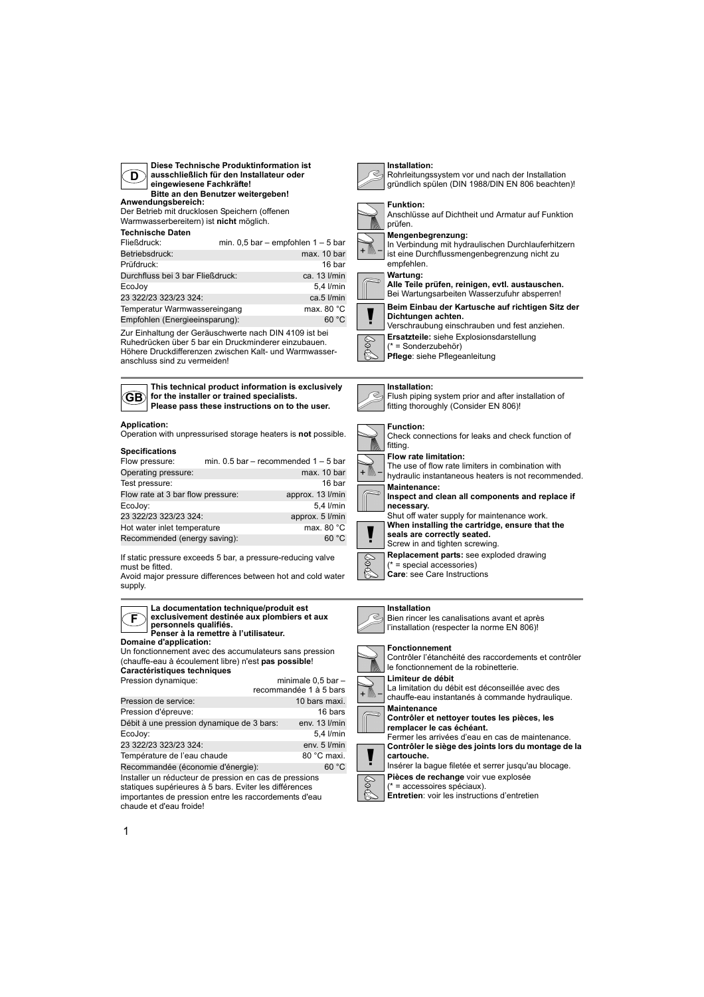

**Diese Technische Produktinformation ist ausschließlich für den Installateur oder eingewiesene Fachkräfte! Bitte an den Benutzer weitergeben!**

**Anwendungsbereich:** Der Betrieb mit drucklosen Speichern (offenen

Warmwasserbereitern) ist **nicht** möglich.

## **Technische Daten**

| Fließdruck:                      | min. $0,5$ bar - empfohlen $1-5$ bar |
|----------------------------------|--------------------------------------|
| Betriebsdruck:                   | max. 10 bar                          |
| Prüfdruck:                       | 16 bar                               |
| Durchfluss bei 3 bar Fließdruck: | ca. 13 l/min                         |
| EcoJoy                           | 5,4 l/min                            |
| 23 322/23 323/23 324:            | ca.5 l/min                           |
| Temperatur Warmwassereingang     | max. 80 $^{\circ}$ C                 |
| Empfohlen (Energieeinsparung):   | 60 °C                                |

Zur Einhaltung der Geräuschwerte nach DIN 4109 ist bei Ruhedrücken über 5 bar ein Druckminderer einzubauen. Höhere Druckdifferenzen zwischen Kalt- und Warmwasseranschluss sind zu vermeiden!



**F**

**This technical product information is exclusively for the installer or trained specialists. Please pass these instructions on to the user.**

#### **Application:**

Operation with unpressurised storage heaters is **not** possible.

## **Specifications**

| Flow pressure:                    | min. $0.5$ bar – recommended $1 - 5$ bar |                    |
|-----------------------------------|------------------------------------------|--------------------|
| Operating pressure:               |                                          | max. 10 bar        |
| Test pressure:                    |                                          | 16 bar             |
| Flow rate at 3 bar flow pressure: |                                          | approx. 13 l/min   |
| EcoJoy:                           |                                          | $5.4$ <i>l/min</i> |
| 23 322/23 323/23 324:             |                                          | approx. 5 l/min    |
| Hot water inlet temperature       |                                          | max. 80 °C         |
| Recommended (energy saving):      |                                          | 60 °C              |

If static pressure exceeds 5 bar, a pressure-reducing valve must be fitted.

Avoid major pressure differences between hot and cold water supply.

#### **La documentation technique/produit est exclusivement destinée aux plombiers et aux personnels qualifiés. Penser à la remettre à l'utilisateur.**

**Domaine d'application:**

Un fonctionnement avec des accumulateurs sans pression (chauffe-eau à écoulement libre) n'est **pas possible**! **Caractéristiques techniques**

| Pression dynamique:                                                                                                                                                       | minimale $0.5$ bar $-$<br>recommandée 1 à 5 bars |
|---------------------------------------------------------------------------------------------------------------------------------------------------------------------------|--------------------------------------------------|
| Pression de service:                                                                                                                                                      | 10 bars maxi.                                    |
| Pression d'épreuve:                                                                                                                                                       | 16 bars                                          |
| Débit à une pression dynamique de 3 bars:                                                                                                                                 | env. 13 l/min                                    |
| EcoJoy:                                                                                                                                                                   | 5.4 l/min                                        |
| 23 322/23 323/23 324:                                                                                                                                                     | env. 5 l/min                                     |
| Température de l'eau chaude                                                                                                                                               | 80 °C maxi.                                      |
| Recommandée (économie d'énergie):                                                                                                                                         | 60 °C                                            |
| Installer un réducteur de pression en cas de pressions<br>statiques supérieures à 5 bars. Eviter les différences<br>importantes de pression entre les raccordements d'eau |                                                  |

importantes de pression entre les raccordements d'eau chaude et d'eau froide!



## **Installation:** Rohrleitungssystem vor und nach der Installation



gründlich spülen (DIN 1988/DIN EN 806 beachten)!



# **Funktion:**



#### **Mengenbegrenzung:** In Verbindung mit hydraulischen Durchlauferhitzern ist eine Durchflussmengenbegrenzung nicht zu

#### empfehlen. **Wartung:**

**Alle Teile prüfen, reinigen, evtl. austauschen.** Bei Wartungsarbeiten Wasserzufuhr absperren!



+ M

**Beim Einbau der Kartusche auf richtigen Sitz der** 

- **Dichtungen achten.** Verschraubung einschrauben und fest anziehen.
- 
- **Ersatzteile:** siehe Explosionsdarstellung

Ş (\* = Sonderzubehör)

**Pflege**: siehe Pflegeanleitung

## **Installation:**









Bien rincer les canalisations avant et après l'installation (respecter la norme EN 806)!

#### **Fonctionnement**

Contrôler l'étanchéité des raccordements et contrôler le fonctionnement de la robinetterie. **Limiteur de débit**



La limitation du débit est déconseillée avec des chauffe-eau instantanés à commande hydraulique.

**Maintenance Contrôler et nettoyer toutes les pièces, les** 

**remplacer le cas échéant.** Fermer les arrivées d'eau en cas de maintenance.

**Contrôler le siège des joints lors du montage de la cartouche.**

Insérer la bague filetée et serrer jusqu'au blocage.

**Pièces de rechange** voir vue explosée (\* = accessoires spéciaux).

**Entretien**: voir les instructions d'entretien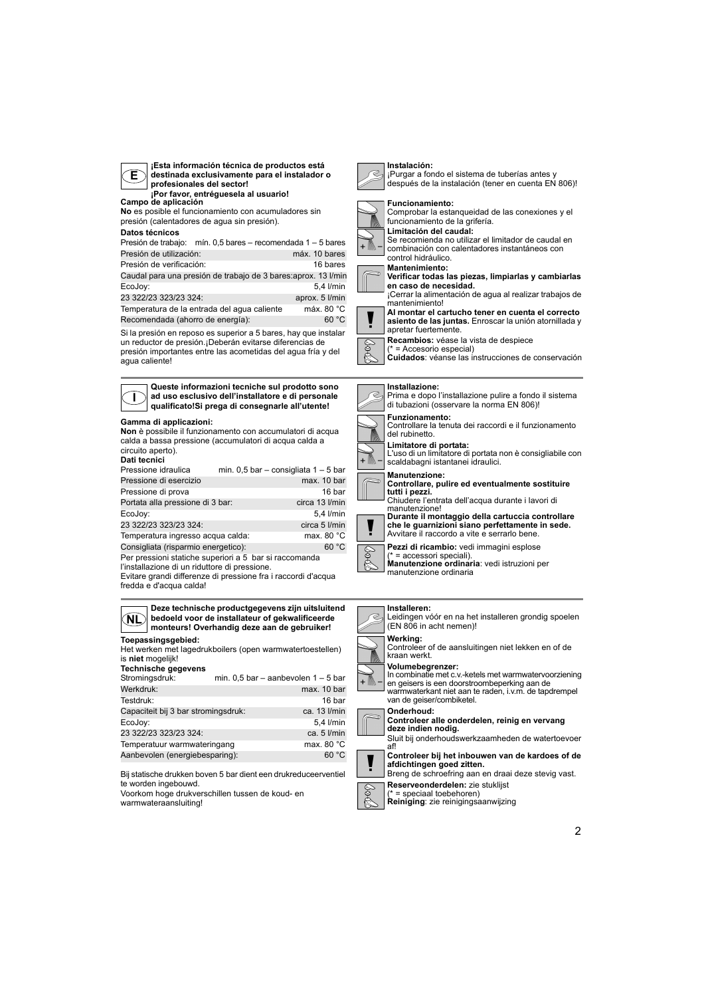**¡Esta información técnica de productos está destinada exclusivamente para el instalador o profesionales del sector!**

**Campo de aplicación ¡Por favor, entréguesela al usuario!**

**No** es posible el funcionamiento con acumuladores sin presión (calentadores de agua sin presión).

#### **Datos técnicos**

Presión de trabajo: mín. 0,5 bares – recomendada 1 – 5 bares Presión de utilización: máx. 10 bares Presión de verificación: 16 bares Caudal para una presión de trabajo de 3 bares:aprox. 13 l/min 5.4 l/min

23 322/23 323/23 324: aprox. 5 l/min Temperatura de la entrada del agua caliente máx. 80 °C Recomendada (ahorro de energía): 60 °C

Si la presión en reposo es superior a 5 bares, hay que instalar un reductor de presión.¡Deberán evitarse diferencias de presión importantes entre las acometidas del agua fría y del agua caliente!

**I Queste informazioni tecniche sul prodotto sono ad uso esclusivo dell'installatore e di personale qualificato!Si prega di consegnarle all'utente!**

#### **Gamma di applicazioni:**

**Non** è possibile il funzionamento con accumulatori di acqua calda a bassa pressione (accumulatori di acqua calda a circuito aperto).

## **Dati tecnici**

| Pressione idraulica                                                                                     | min. $0.5$ bar - consigliata $1 - 5$ bar |                |
|---------------------------------------------------------------------------------------------------------|------------------------------------------|----------------|
| Pressione di esercizio                                                                                  |                                          | max. 10 bar    |
| Pressione di prova                                                                                      |                                          | 16 bar         |
| Portata alla pressione di 3 bar:                                                                        |                                          | circa 13 l/min |
| EcoJoy:                                                                                                 |                                          | 5,4 l/min      |
| 23 322/23 323/23 324:                                                                                   |                                          | circa 5 l/min  |
| Temperatura ingresso acqua calda:                                                                       |                                          | max. 80 °C     |
| Consigliata (risparmio energetico):                                                                     |                                          | 60 °C          |
| Per pressioni statiche superiori a 5 bar si raccomanda<br>l'installazione di un riduttore di pressione. |                                          |                |

Evitare grandi differenze di pressione fra i raccordi d'acqua fredda e d'acqua calda!

| <b>NL</b>                                                             | Deze technische productgegevens zijn uitsluitend<br>bedoeld voor de installateur of gekwalificeerde<br>monteurs! Overhandig deze aan de gebruiker! |
|-----------------------------------------------------------------------|----------------------------------------------------------------------------------------------------------------------------------------------------|
| Toepassingsgebied:<br>is niet mogelijk!<br><b>Technische gegevens</b> | Het werken met lagedrukboilers (open warmwatertoestellen)                                                                                          |
| Stromingsdruk:                                                        | min. $0.5$ bar - aanbevolen $1 - 5$ bar                                                                                                            |
| Werkdruk:                                                             | max. 10 bar                                                                                                                                        |
| Testdruk:                                                             | 16 bar                                                                                                                                             |
| Capaciteit bij 3 bar stromingsdruk:                                   | ca. 13 l/min                                                                                                                                       |
| EcoJoy:                                                               | 5,4 l/min                                                                                                                                          |
| 23 322/23 323/23 324:                                                 | ca. $5$ $l/min$                                                                                                                                    |
| Temperatuur warmwateringang                                           | max. 80 °C                                                                                                                                         |
| Aanbevolen (energiebesparing):                                        | 60 °C                                                                                                                                              |

Bij statische drukken boven 5 bar dient een drukreduceerventiel te worden ingebouwd.

Voorkom hoge drukverschillen tussen de koud- en warmwateraansluiting!





**Limitación del caudal:** Se recomienda no utilizar el limitador de caudal en combinación con calentadores instantáneos con

Comprobar la estanqueidad de las conexiones y el

¡Purgar a fondo el sistema de tuberías antes y después de la instalación (tener en cuenta EN 806)!

control hidráulico. **Mantenimiento:**

**Instalación:**

**Funcionamiento:**

- **Verificar todas las piezas, limpiarlas y cambiarlas en caso de necesidad.**
- ¡Cerrar la alimentación de agua al realizar trabajos de mantenimiento!



**asiento de las juntas.** Enroscar la unión atornillada y

**Recambios:** véase la vista de despiece

= Accesorio especial) **Cuidados**: véanse las instrucciones de conservación

**Installazione:**



**Limitatore di portata:**

L'uso di un limitatore di portata non è consigliabile con scaldabagni istantanei idraulici.



 $\widetilde{\mathbb{M}}$  .

**Manutenzione: Controllare, pulire ed eventualmente sostituire tutti i pezzi.**

Chiudere l'entrata dell'acqua durante i lavori di manutenzione! **Durante il montaggio della cartuccia controllare che le guarnizioni siano perfettamente in sede.**



**Pezzi di ricambio:** vedi immagini esplose (\* = accessori speciali). **Manutenzione ordinaria**: vedi istruzioni per manutenzione ordinaria

#### **Installeren:**

Leidingen vóór en na het installeren grondig spoelen (EN 806 in acht nemen)!



8

**Werking:**<br>Controleer of de aansluitingen niet lekken en of de<br>kraan werkt.

**Volumebegrenzer:**

In combinatie met c.v.-ketels met warmwatervoorziening en geisers is een doorstroombeperking aan de warmwaterkant niet aan te raden, i.v.m. de tapdrempel van de geiser/combiketel.



**Controleer alle onderdelen, reinig en vervang deze indien nodig.**



**Controleer bij het inbouwen van de kardoes of de afdichtingen goed zitten.** Breng de schroefring aan en draai deze stevig vast.

**Reserveonderdelen:** zie stuklijst

(\* = speciaal toebehoren) **Reiniging**: zie reinigingsaanwijzing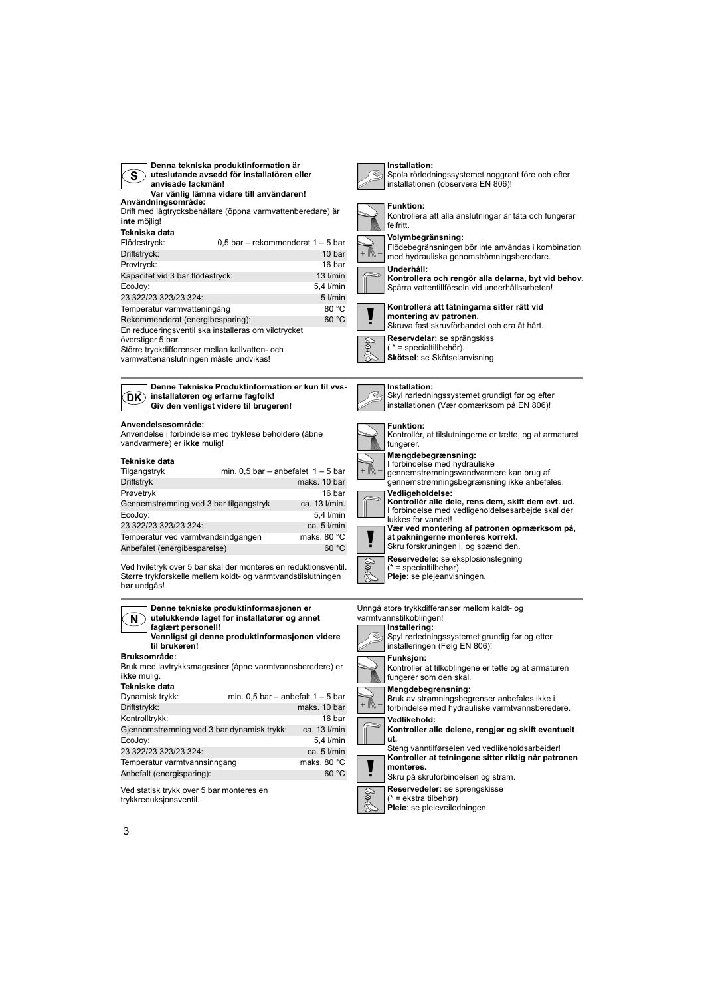| Denna tekniska produktinformation är<br>uteslutande avsedd för installatören eller<br>S<br>anvisade fackmän!<br>Var vänlig lämna vidare till användaren!<br>Användningsområde:<br>Drift med lågtrycksbehållare (öppna varmvattenberedare) är<br>inte möilia!<br>Tekniska data<br>Flödestryck:<br>$0.5$ bar – rekommenderat 1 – 5 bar<br>Driftstryck:<br>10 bar<br>Provtryck:<br>16 bar<br>Kapacitet vid 3 bar flödestryck:<br>$13$ I/min<br>EcoJoy:<br>5,4 l/min<br>23 322/23 323/23 324:<br>5 I/min | Installation:<br>Spola rörledningssystemet noggrant före och efter<br>installationen (observera EN 806)!<br><b>Funktion:</b><br>Kontrollera att alla anslutningar är täta och fungerar<br>felfritt.<br>Volymbegränsning:<br>Flödebegränsningen bör inte användas i kombination<br>med hydrauliska genomströmningsberedare.<br>Underhåll:<br>Kontrollera och rengör alla delarna, byt vid behov.<br>Spärra vattentillförseln vid underhållsarbeten! |
|------------------------------------------------------------------------------------------------------------------------------------------------------------------------------------------------------------------------------------------------------------------------------------------------------------------------------------------------------------------------------------------------------------------------------------------------------------------------------------------------------|----------------------------------------------------------------------------------------------------------------------------------------------------------------------------------------------------------------------------------------------------------------------------------------------------------------------------------------------------------------------------------------------------------------------------------------------------|
| 80 °C<br>Temperatur varmvatteningång<br>60 °C<br>Rekommenderat (energibesparing):<br>En reduceringsventil ska installeras om vilotrycket<br>överstiger 5 bar.<br>Större tryckdifferenser mellan kallvatten- och<br>varmvattenanslutningen måste undvikas!                                                                                                                                                                                                                                            | Kontrollera att tätningarna sitter rätt vid<br>montering av patronen.<br>Skruva fast skruvförbandet och dra åt hårt.<br>Reservdelar: se sprängskiss<br>$(* = specialtilbeh\ddot{o}).$<br>Skötsel: se Skötselanvisning                                                                                                                                                                                                                              |
| Denne Tekniske Produktinformation er kun til vys-<br>installatøren og erfarne fagfolk!<br>DK)<br>Giv den venligst videre til brugeren!                                                                                                                                                                                                                                                                                                                                                               | Installation:<br>Skyl rørledningssystemet grundigt før og efter<br>installationen (Vær opmærksom på EN 806)!                                                                                                                                                                                                                                                                                                                                       |
| Anvendelsesområde:<br>Anvendelse i forbindelse med trykløse beholdere (åbne<br>vandvarmere) er ikke mulig!                                                                                                                                                                                                                                                                                                                                                                                           | <b>Funktion:</b><br>Kontrollér, at tilslutningerne er tætte, og at armaturet<br>fungerer.                                                                                                                                                                                                                                                                                                                                                          |
| Tekniske data<br>min. $0,5$ bar - anbefalet $1-5$ bar<br>Tilgangstryk<br>Driftstryk<br>maks, 10 bar<br>16 bar<br>Prøvetryk<br>Gennemstrømning ved 3 bar tilgangstryk<br>ca. 13 l/min.<br>5,4 l/min<br>EcoJoy:<br>23 322/23 323/23 324:<br>ca. 5 l/min<br>maks. 80 °C<br>Temperatur ved varmtvandsindgangen<br>60 °C<br>Anbefalet (energibesparelse)                                                                                                                                                  | Mængdebegrænsning:<br>I forbindelse med hydrauliske<br>gennemstrømningsvandvarmere kan brug af<br>gennemstrømningsbegrænsning ikke anbefales.<br>Vedligeholdelse:<br>Kontrollér alle dele, rens dem, skift dem evt. ud.<br>I forbindelse med vedligeholdelsesarbejde skal der<br>lukkes for vandet!<br>Vær ved montering af patronen opmærksom på,<br>at pakningerne monteres korrekt.<br>Skru forskruningen i, og spænd den.                      |
| Ved hviletryk over 5 bar skal der monteres en reduktionsventil.<br>Større trykforskelle mellem koldt- og varmtvandstilslutningen<br>bør undgås!                                                                                                                                                                                                                                                                                                                                                      | Reservedele: se eksplosionstegning<br>S<br>$(* = specialtilbehor)$<br>Pleje: se plejeanvisningen.                                                                                                                                                                                                                                                                                                                                                  |
| Denne tekniske produktinformasjonen er<br>utelukkende laget for installatører og annet<br>N,<br>faglært personell!<br>Vennligst gi denne produktinformasjonen videre<br>til brukeren!<br>Bruksområde:                                                                                                                                                                                                                                                                                                | Unngå store trykkdifferanser mellom kaldt- og<br>varmtvannstilkoblingen!<br>Installering:<br>Spyl rørledningssystemet grundig før og etter<br>installeringen (Følg EN 806)!<br><b>Funksjon:</b>                                                                                                                                                                                                                                                    |
| Bruk med lavtrykksmagasiner (åpne varmtvannsberedere) er<br>ikke mulig.<br>Tekniske data<br>min. $0,5$ bar - anbefalt $1 - 5$ bar<br>Dynamisk trykk:                                                                                                                                                                                                                                                                                                                                                 | Kontroller at tilkoblingene er tette og at armaturen<br>fungerer som den skal.<br>Mengdebegrensning:<br>Bruk av strømningsbegrenser anbefales ikke i                                                                                                                                                                                                                                                                                               |
| Driftstrykk:<br>maks. 10 bar<br>Kontrolltrykk:<br>16 bar<br>Gjennomstrømning ved 3 bar dynamisk trykk:<br>ca. 13 l/min<br>EcoJoy:<br>5,4 l/min<br>23 322/23 323/23 324:<br>ca. 5 l/min                                                                                                                                                                                                                                                                                                               | forbindelse med hydrauliske varmtvannsberedere.<br>Vedlikehold:<br>Kontroller alle delene, rengjør og skift eventuelt<br>ut.<br>Steng vanntilførselen ved vedlikeholdsarbeider!                                                                                                                                                                                                                                                                    |
| Temperatur varmtvannsinngang<br>maks. 80 °C<br>60 °C<br>Anbefalt (energisparing):                                                                                                                                                                                                                                                                                                                                                                                                                    | Kontroller at tetningene sitter riktig når patronen<br>monteres.<br>Skru på skruforbindelsen og stram.                                                                                                                                                                                                                                                                                                                                             |

**Reservedeler:** se sprengskisse (\* = ekstra tilbehør) **Pleie**: se pleieveiledningen

Ved statisk trykk over 5 bar monteres en trykkreduksjonsventil.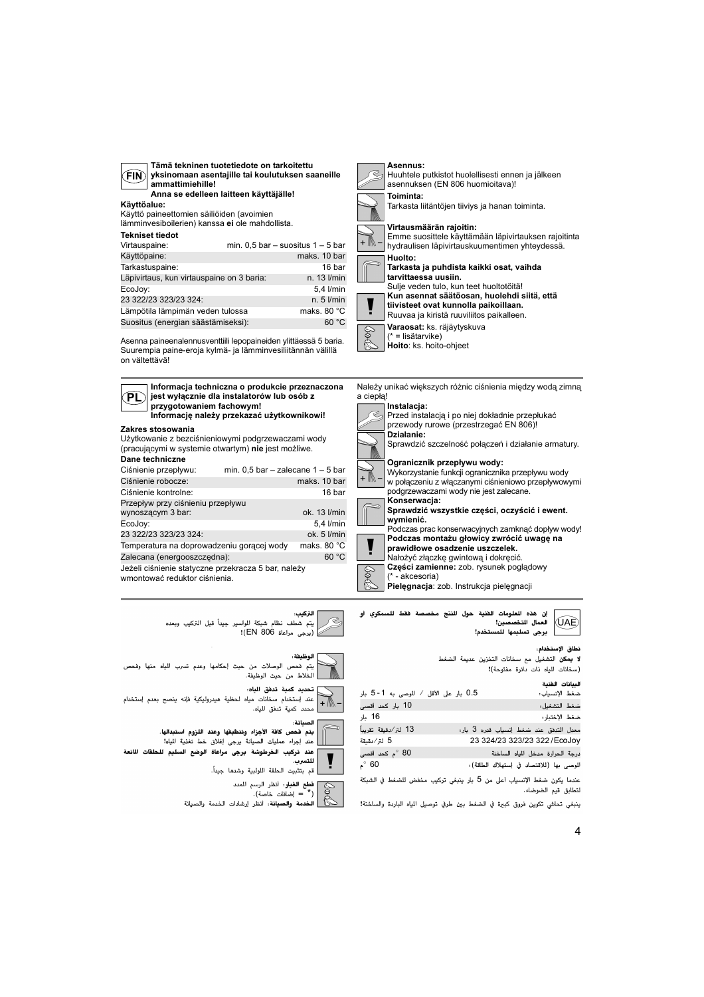| <b>FIN</b><br>ammattimiehille!<br>Anna se edelleen laitteen käyttäjälle!                     | yksinomaan asentajille tai koulutuksen saaneille |
|----------------------------------------------------------------------------------------------|--------------------------------------------------|
| Käyttöalue:                                                                                  |                                                  |
| Käyttö paineettomien säiliöiden (avoimien<br>lämminvesiboilerien) kanssa ei ole mahdollista. |                                                  |
| <b>Tekniset tiedot</b><br>Virtauspaine:                                                      | min. $0.5$ bar - suositus $1 - 5$ bar            |
| Käyttöpaine:                                                                                 | maks. 10 bar                                     |
| Tarkastuspaine:                                                                              | 16 bar                                           |
| Läpivirtaus, kun virtauspaine on 3 baria:                                                    | $n. 13$ $l/min$                                  |
| EcoJoy:                                                                                      | 5,4 l/min                                        |
| 23 322/23 323/23 324:                                                                        | $n.5$ $l/min$                                    |
| Lämpötila lämpimän veden tulossa                                                             | maks. 80 $^{\circ}$ C                            |
| Suositus (energian säästämiseksi):                                                           | 60 °C                                            |

**Tämä tekninen tuotetiedote on tarkoitettu** 

Asenna paineenalennusventtiili lepopaineiden ylittäessä 5 baria. Suurempia paine-eroja kylmä- ja lämminvesiliitännän välillä on vältettävä!



**Hoito**: ks. hoito-ohjeet





نطاق الإستخدام، .<br>**لا يمكن** التشغيل مع سخانات التخزين عديمة الضغط .<br>(سخانات المياه ذات دائرة مفتوحة)!

| 0.5 بار على الأقل / الموصى به 1-5 بار |                                       | لبيانات الخنية<br>ضغط الإنسياب:        |
|---------------------------------------|---------------------------------------|----------------------------------------|
| 10 بار كحد أقصى                       |                                       | ضغط التشغيل:                           |
| 16 بار                                |                                       | ضغط الإختبار:                          |
| 13 لتر⁄دقيقة تقريباً                  | حدل التدفق عند ضغط إنسياب قدره 3 بار: |                                        |
| 5 لتر⁄دقيقة                           |                                       | 23 324/23 323/23 322 / EcoJoy          |
| 80 °م كحد أقصى                        |                                       | رجة الحرارة مدخل المياه الساخنة        |
| 60 °م                                 |                                       | لوصى بها (للاقتصاد في إستهلاك الطاقة): |
|                                       |                                       |                                        |

عندما يكون ضغط الإنسياب أعلى من 5 بار ينبغي تركيب مخفض للضغط في الشبكة لتطابق قيم الضوضاء.

ينبغي تحاشي تكوين فروق كبيرة في الضغط بين طرفي توصيل المياه الباردة والساخنة!

۔ ۔<br>يتم فحص الوصلات من حيث إحكامها وعدم تسرب الياه منها وفحص - .<br>الخلاط من حيث الوظيفة. تحديد كمية تدفق الياه: عند استخدام سخانات مياه لحظية هيدروليكية فإنه ينصح بعدم إستخدام  $+ \mathbb{M}$ .<br>محدد كمية تدفق للياه. بانة : .<br>يتم <sup>"</sup> فحص كافة الأجزاء وتنظيفها وعند اللزوم استبدالها. - .<br>عند إجراء عمليات الصيانة يرجى إغلاق خط تغذية المياه! عند تركيب الخرطوشة يرجى مراعاة الوضع السليم للحلقات المانعة

سسة مرسية<br>للتسرب. \_ قم بتثبيت الحلقة اللولبية وشدها جيداً. Ş

**قطع الغيار**: أنظر الرسم المدد<br>(\* = إضافات خاصة).

الخدمة والصيانة: أنظر إرشادات الخدمة والصيانة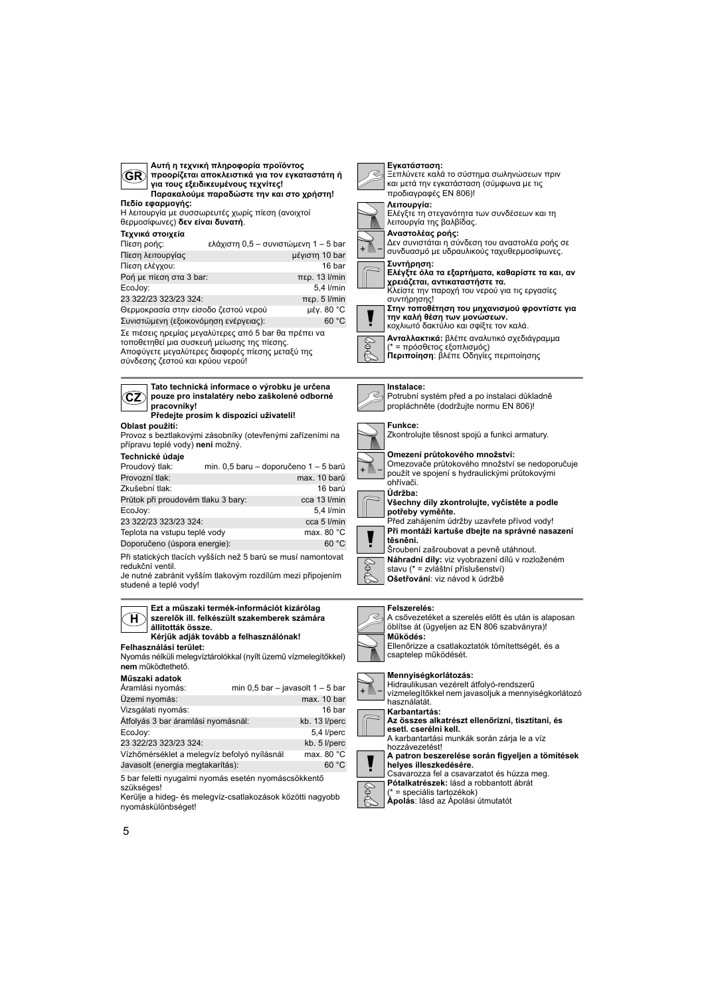| Αυτή η τεχνική πληροφορία προϊόντος<br>GR)<br>προορίζεται αποκλειστικά για τον εγκαταστάτη ή<br>για τους εξειδικευμένους τεχνίτες!<br>Παρακαλούμε παραδώστε την και στο χρήστη!<br>Πεδίο εφαρμογής:<br>Η λειτουργία με συσσωρευτές χωρίς πίεση (ανοιχτοί<br>θερμοσίφωνες) δεν είναι δυνατή.<br>Τεχνικά στοιχεία                                                                                                                                   | Εγκατάσταση:<br>Ξεπλύνετε καλά το σύστημα σωληνώσεων πριν<br>και μετά την εγκατάσταση (σύμφωνα με τις<br>προδιαγραφές ΕΝ 806)!<br>Λειτουργία:<br>Ελέγξτε τη στεγανότητα των συνδέσεων και τη<br>λειτουργία της βαλβίδας.<br>Αναστολέας ροής:                                                                                                                                                                         |
|---------------------------------------------------------------------------------------------------------------------------------------------------------------------------------------------------------------------------------------------------------------------------------------------------------------------------------------------------------------------------------------------------------------------------------------------------|----------------------------------------------------------------------------------------------------------------------------------------------------------------------------------------------------------------------------------------------------------------------------------------------------------------------------------------------------------------------------------------------------------------------|
| Πίεση ροής:<br>ελάχιστη 0,5 – συνιστώμενη 1 – 5 bar<br>Πίεση λειτουργίας<br>μέγιστη 10 bar                                                                                                                                                                                                                                                                                                                                                        | Δεν συνιστάται η σύνδεση του αναστολέα ροής σε<br>συνδυασμό με υδραυλικούς ταχυθερμοσίφωνες.                                                                                                                                                                                                                                                                                                                         |
| Πίεση ελέγχου:<br>16 bar<br>Ροή με πίεση στα 3 bar:<br>$περ. 13$ I/min<br>EcoJoy:<br>5,4 l/min<br>23 322/23 323/23 324:<br>$περ. 5$ I/min<br>Θερμοκρασία στην είσοδο ζεστού νερού<br>μέγ. 80 °C<br>Συνιστώμενη (εξοικονόμηση ενέργειας):<br>60 °C<br>Σε πιέσεις ηρεμίας μεγαλύτερες από 5 bar θα πρέπει να<br>τοποθετηθεί μια συσκευή μείωσης της πίεσης.<br>Αποφύγετε μεγαλύτερες διαφορές πίεσης μεταξύ της<br>σύνδεσης ζεστού και κρύου νερού! | Συντήρηση:<br>Ελέγξτε όλα τα εξαρτήματα, καθαρίστε τα και, αν<br>χρειάζεται, αντικαταστήστε τα.<br>Κλείστε την παροχή του νερού για τις εργασίες<br>συντήρησης!<br>Στην τοποθέτηση του μηχανισμού φροντίστε για<br>την καλή θέση των μονώσεων.<br>κοχλιωτό δακτύλιο και σφίξτε τον καλά.<br>Ανταλλακτικά: βλέπε αναλυτικό σχεδιάγραμμα<br>Sok<br>(* = πρόσθετος εξοπλισμός)<br>Περιποίηση: βλέπε Οδηγίες περιποίησης |
| Tato technická informace o výrobku je určena<br>pouze pro instalatéry nebo zaškolené odborné<br>CZ)<br>pracovníky!<br>Předejte prosím k dispozici uživateli!                                                                                                                                                                                                                                                                                      | Instalace:<br>Potrubní systém před a po instalaci důkladně<br>propláchněte (dodržujte normu EN 806)!                                                                                                                                                                                                                                                                                                                 |
| Oblast použití:<br>Provoz s beztlakovými zásobníky (otevřenými zařízeními na<br>přípravu teplé vody) není možný.                                                                                                                                                                                                                                                                                                                                  | Funkce:<br>Zkontrolujte těsnost spojů a funkci armatury.                                                                                                                                                                                                                                                                                                                                                             |
| Technické údaje<br>Proudový tlak:<br>min. 0,5 baru - doporučeno 1 - 5 barů<br>max. 10 barů<br>Provozní tlak:                                                                                                                                                                                                                                                                                                                                      | Omezení průtokového množství:<br>Omezovače průtokového množství se nedoporučuje<br>+ /∭∖ -<br>použít ve spojení s hydraulickými průtokovými<br>ohřívači.                                                                                                                                                                                                                                                             |
| Zkušební tlak:<br>16 barů<br>Průtok při proudovém tlaku 3 bary:<br>cca 13 l/min<br>EcoJoy:<br>5,4 l/min<br>23 322/23 323/23 324:<br>cca 5 l/min                                                                                                                                                                                                                                                                                                   | Údržba:<br>Všechny díly zkontrolujte, vyčistěte a podle<br>potřeby vyměňte.<br>Před zahájením údržby uzavřete přívod vody!                                                                                                                                                                                                                                                                                           |
| max. 80 °C<br>Teplota na vstupu teplé vody<br>60 °C<br>Doporučeno (úspora energie):                                                                                                                                                                                                                                                                                                                                                               | Při montáži kartuše dbejte na správné nasazení<br>těsnění.<br>Šroubení zašroubovat a pevně utáhnout.                                                                                                                                                                                                                                                                                                                 |
| Při statických tlacích vyšších než 5 barů se musí namontovat<br>redukční ventil.<br>Je nutné zabránit vyšším tlakovým rozdílům mezi připojením<br>studené a teplé vody!                                                                                                                                                                                                                                                                           | Náhradní díly: viz vyobrazení dílů v rozloženém<br>Ş<br>stavu (* = zvláštní příslušenství)<br>Ošetřování: viz návod k údržbě                                                                                                                                                                                                                                                                                         |
| Ezt a műszaki termék-információt kizárólag<br>szerelők ill, felkészült szakemberek számára<br>H.<br>állították össze.<br>Kérjük adják tovább a felhasználónak!<br>Felhasználási terület:<br>Nyomás nélküli melegvíztárolókkal (nyílt üzemű vízmelegítőkkel)<br>nem működtethető.                                                                                                                                                                  | Felszerelés:<br>A csővezetéket a szerelés előtt és után is alaposan<br>öblítse át (ügyeljen az EN 806 szabványra)!<br>Működés:<br>Ellenőrizze a csatlakoztatók tömítettségét, és a<br>csaptelep működését.                                                                                                                                                                                                           |
| Műszaki adatok<br>Áramlási nyomás:<br>min 0,5 bar - javasolt $1-5$ bar<br>Üzemi nyomás:<br>max. 10 bar                                                                                                                                                                                                                                                                                                                                            | Mennyiségkorlátozás:<br>Hidraulikusan vezérelt átfolyó-rendszerű<br>vízmelegítőkkel nem javasoljuk a mennyiségkorlátozó<br>használatát.                                                                                                                                                                                                                                                                              |
| Vizsgálati nyomás:<br>16 bar<br>Átfolyás 3 bar áramlási nyomásnál:<br>kb. 13 l/perc<br>EcoJoy:<br>5,4 l/perc                                                                                                                                                                                                                                                                                                                                      | Karbantartás:<br>Az összes alkatrészt ellenőrizni, tisztítani, és<br>esetl. cserélni kell.<br>A karbantartási munkák során zárja le a víz                                                                                                                                                                                                                                                                            |
| 23 322/23 323/23 324:<br>kb. 5 l/perc<br>Vízhőmérséklet a melegvíz befolyó nyílásnál<br>max. 80 $^{\circ}$ C<br>60 °C<br>Javasolt (energia megtakarítás):                                                                                                                                                                                                                                                                                         | hozzávezetést!<br>A patron beszerelése során figyeljen a tömítések<br>helyes illeszkedésére.<br>Csavarozza fel a csavarzatot és húzza meg.                                                                                                                                                                                                                                                                           |
| 5 bar feletti nyugalmi nyomás esetén nyomáscsökkentő<br>szükséges!<br>Kerülje a hideg- és melegvíz-csatlakozások közötti nagyobb                                                                                                                                                                                                                                                                                                                  | Pótalkatrészek: lásd a robbantott ábrát<br>S<br>O<br>(* = speciális tartozékok)<br>Ápolás: lásd az Ápolási útmutatót                                                                                                                                                                                                                                                                                                 |

szükséges! Kerülje a hideg- és melegvíz-csatlakozások közötti nagyobb nyomáskülönbséget!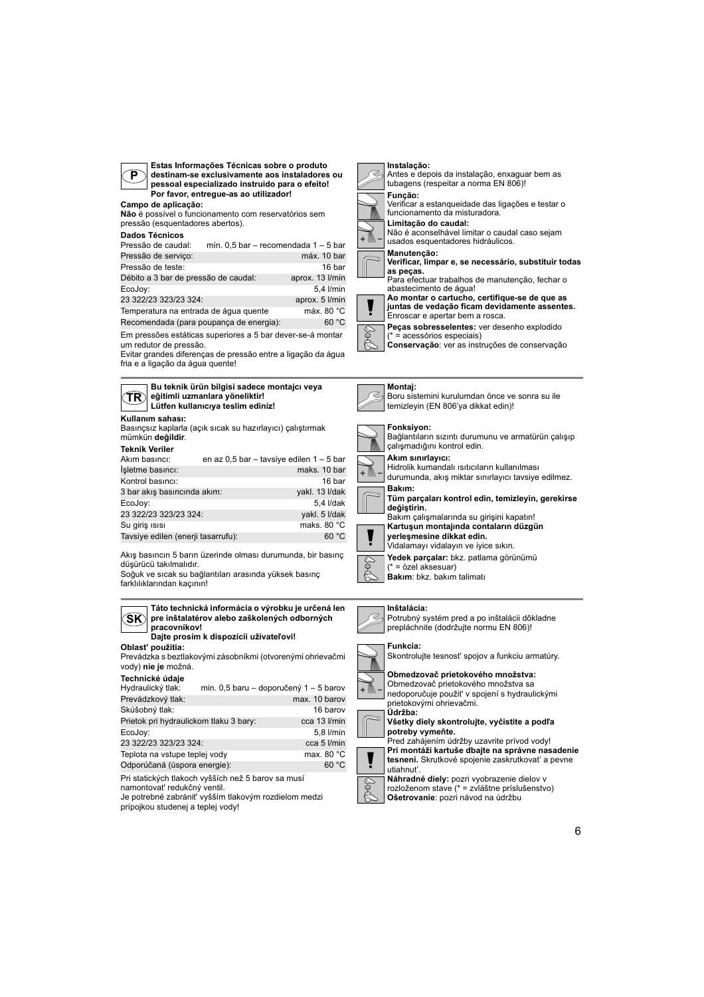

**Estas Informações Técnicas sobre o produto destinam-se exclusivamente aos instaladores ou pessoal especializado instruido para o efeito! Por favor, entregue-as ao utilizador!**

**Campo de aplicação: Não** é possível o funcionamento com reservatórios sem

pressão (esquentadores abertos).

## **Dados Técnicos**

| Pressão de caudal:                   | mín. $0.5$ bar - recomendada $1 - 5$ bar |
|--------------------------------------|------------------------------------------|
| Pressão de serviço:                  | máx. 10 bar                              |
| Pressão de teste:                    | 16 bar                                   |
| Débito a 3 bar de pressão de caudal: | aprox. 13 l/min                          |
| EcoJoy:                              | 5,4 l/min                                |
| 23 322/23 323/23 324:                | aprox. 5 l/min                           |

Temperatura na entrada de água quente máx. 80 °C

Em pressões estáticas superiores a 5 bar dever-se-á montar Recomendada (para poupança de energia): 60 °C

um redutor de pressão. Evitar grandes diferenças de pressão entre a ligação da água

fria e a ligação da água quente!

**TR Bu teknik ürün bilgisi sadece montajcı veya eğitimli uzmanlara yöneliktir! Lütfen kullanıcıya teslim ediniz!**

## **Kullanım sahası:**

Basınçsız kaplarla (açık sıcak su hazırlayıcı) çalıştırmak mümkün **değildir**.

|  | <b>Teknik Veriler</b> |  |
|--|-----------------------|--|
|  |                       |  |

| Akım basıncı:                      | en az 0,5 bar - tavsiye edilen 1 - 5 bar |                       |
|------------------------------------|------------------------------------------|-----------------------|
| İşletme basıncı:                   |                                          | maks, 10 bar          |
| Kontrol basinci:                   |                                          | 16 bar                |
| 3 bar akış basıncında akım:        |                                          | yakl. 13 I/dak        |
| EcoJoy:                            |                                          | 5,4 I/dak             |
| 23 322/23 323/23 324:              |                                          | vakl. 5 I/dak         |
| Su giris <sub>ISISI</sub>          |                                          | maks. 80 $^{\circ}$ C |
| Tavsiye edilen (enerji tasarrufu): |                                          | 60 °C                 |

Akış basıncın 5 barın üzerinde olması durumunda, bir basınç düşürücü takılmalıdır.

Soğuk ve sıcak su bağlantıları arasında yüksek basınç farklılıklarından kaçının!



| Prevádzkový tlak:                                  | max. 10 barov |
|----------------------------------------------------|---------------|
| Skúšobný tlak:                                     | 16 barov      |
| Prietok pri hydraulickom tlaku 3 bary:             | cca 13 l/min  |
| EcoJoy:                                            | 5,8 l/min     |
| 23 322/23 323/23 324:                              | cca 5 l/min   |
| Teplota na vstupe teplej vody                      | max. 80 °C    |
| Odporúčaná (úspora energie):                       | 60 °C         |
| Pri statických tlakoch vyšších než 5 barov sa musí |               |

namontovat' redukčný ventil.

Je potrebné zabránit' vyšším tlakovým rozdielom medzi prípojkou studenej a teplej vody!





abastecimento de água! **Ao montar o cartucho, certifique-se de que as** 

**juntas de vedação ficam devidamente assentes.** Enroscar e apertar bem a rosca.

**Peças sobresselentes:** ver desenho explodido (\* = acessórios especiais)

**SOS Conservação**: ver as instruções de conservação

## **Montaj:**



#### **Inštalácia:** ð

Potrubný systém pred a po inštalácii dôkladne prepláchnite (dodržujte normu EN 806)!



## Skontrolujte tesnost' spojov a funkciu armatúry.



 $\frac{1}{2}$ 

Obmedzovač prietokového množstva sa nedoporučuje použit' v spojení s hydraulickými

#### prietokovými ohrievačmi. **Údržba:**

**Všetky diely skontrolujte, vyčistite a podľa potreby vymeňte.** Pred zahájením údržby uzavrite prívod vody!



**Náhradné diely:** pozri vyobrazenie dielov v rozloženom stave (\* = zvláštne príslušenstvo) **Ošetrovanie**: pozri návod na údržbu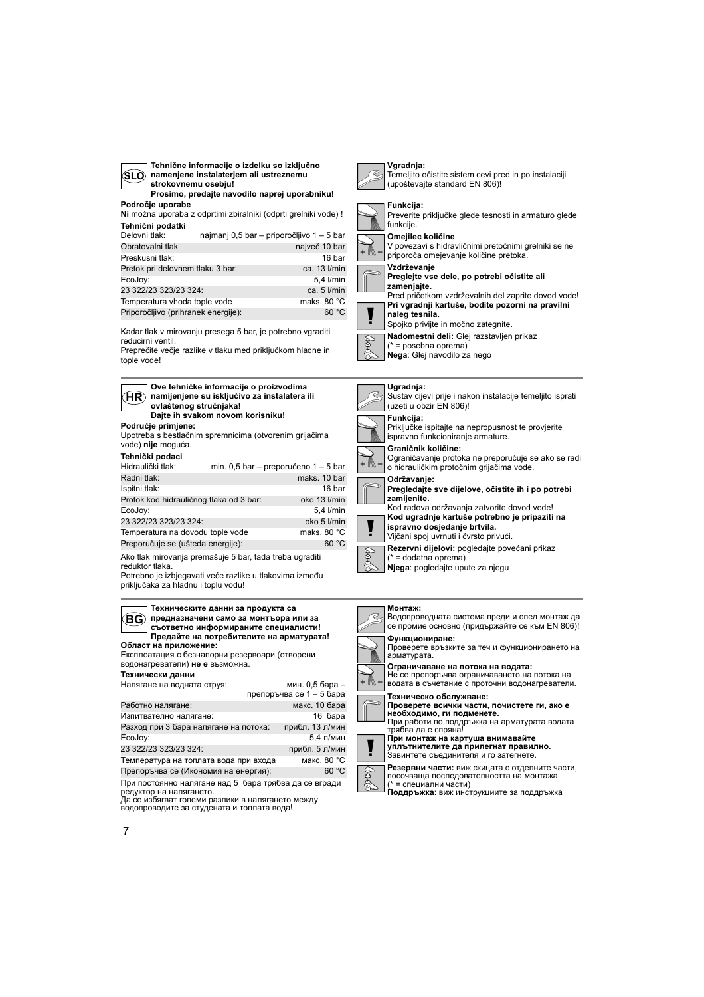| SLO namenjene instalaterjem ali ustreznemu<br>strokovnemu osebju! |  |                                                                |  |  |  |  |
|-------------------------------------------------------------------|--|----------------------------------------------------------------|--|--|--|--|
| Prosimo, predajte navodilo naprej uporabniku!                     |  |                                                                |  |  |  |  |
| Področje uporabe                                                  |  |                                                                |  |  |  |  |
|                                                                   |  | Ni možna uporaba z odprtimi zbiralniki (odprti grelniki vode)! |  |  |  |  |
| Tehnični podatki                                                  |  |                                                                |  |  |  |  |
| Delovni tlak:                                                     |  | najmanj 0,5 bar - priporočljivo 1 - 5 bar                      |  |  |  |  |
| Obratovalni tlak                                                  |  | največ 10 bar                                                  |  |  |  |  |
| Preskusni tlak:                                                   |  | 16 bar                                                         |  |  |  |  |
| Pretok pri delovnem tlaku 3 bar:                                  |  | ca. 13 l/min                                                   |  |  |  |  |
| EcoJov:                                                           |  | 5.4 l/min                                                      |  |  |  |  |
| 23 322/23 323/23 324:                                             |  | ca. $5$ $l/min$                                                |  |  |  |  |
| Temperatura vhoda tople vode                                      |  | maks. 80 °C                                                    |  |  |  |  |
| Priporočljivo (prihranek energije):                               |  | 60 °C                                                          |  |  |  |  |

**Tehnične informacije o izdelku so izključno** 

Kadar tlak v mirovanju presega 5 bar, je potrebno vgraditi reducirni ventil.

Preprečite večje razlike v tlaku med priključkom hladne in tople vode!

**Područje primjene:** Upotreba s bestlačnim spremnicima (otvorenim grijačima vode) **nije** moguća. **Tehnički podaci HR Ove tehničke informacije o proizvodima namijenjene su isključivo za instalatera ili ovlaštenog stručnjaka! Dajte ih svakom novom korisniku!** Hidraulički tlak: min. 0,5 bar – preporučeno 1 – 5 bar Radni tlak: maks. 10 bar Ispitni tlak: 16 bar<br>Protok kod hidrauličnog tlaka od 3 bar: 16 bko 13 l/min Protok kod hidrauličnog tlaka od 3 bar: EcoJoy: 5,4 l/min 23 322/23 323/23 324: oko 5 l/min Temperatura na dovodu tople vode maks. 80 °C Preporučuje se (ušteda energije): 60 °C

Ako tlak mirovanja premašuje 5 bar, tada treba ugraditi reduktor tlaka.

Potrebno je izbjegavati veće razlike u tlakovima između priključaka za hladnu i toplu vodu!

#### **Област на приложение:** Експлоатация с безнапорни резервоари (отворени водонагреватели) **не е** възможна. **Технически данни** При постоянно налягане над 5 бара трябва да се вгради **BG Техническите данни за продукта са предназначени само за монтъора или за съответно информираните специалисти! Предайте на потребителите на арматурата!** Налягане на водната струя: мин. 0,5 бара – препоръчва се 1 – 5 бара Работно налягане: макс. 10 бара Изпитвателно налягане: 16 бара Разход при 3 бара налягане на потока: прибл. 13 л/мин EcoJoy: 5,4 л/мин<br>23 322/23 323/23 324: прибл. 5 л/мин 23 322/23 323/23 324· Температура на топлата вода при входа макс. 80 °C Препоръчва се (Икономия на енергия): 60 °C

редуктор на налягането. Да се избягват големи разлики в налягането между водопроводите за студената и топлата вода!

| √ S Temeljito očistite sistem cevi pred in po instalaciji<br>(upoštevajte standard EN 806)! |
|---------------------------------------------------------------------------------------------|
| Funkcija:<br>Preverite priključke glede tesnosti in armaturo glede<br>funkcije.             |

**Vgradnja:** eljito očistite sistem cevi pred in po instalaciji števajte standard EN 806)!



cije. **Omejilec količine** V povezavi s hidravličnimi pretočnimi grelniki se ne

priporoča omejevanje količine pretoka. **Vzdrževanje Preglejte vse dele, po potrebi očistite ali zamenjajte.**

Pred pričetkom vzdrževalnih del zaprite dovod vode! **Pri vgradnji kartuše, bodite pozorni na pravilni naleg tesnila.**

Spojko privijte in močno zategnite.

- **Nadomestni deli:** Glej razstavljen prikaz
- \* = posebna oprema)

§<br>€ **Nega**: Glej navodilo za nego

#### **Ugradnja:**



#### **Монтаж:**

EQ+

Водопроводната система преди и след монтаж да се промие основно (придържайте се към EN 806)! **Функциониране:** Проверете връзките за теч и функционирането на арматурата. **Ограничаване на потока на водата:** Не се препоръчва ограничаването на потока на



**необходимо, ги подменете.** При работи по поддръжка на арматурата водата ен разоти не неддр<br>ябва да е спряна! **При монтаж на картуша внимавайте**

**уплътнителите да прилегнат правилно.** Завинтете съединителя и го затегнете.

**Резервни части:** виж скицата с отделните части, посочваща последователността на монтажа есс ваща последова<br>= специални части)

**Поддръжка**: виж инструкциите за поддръжка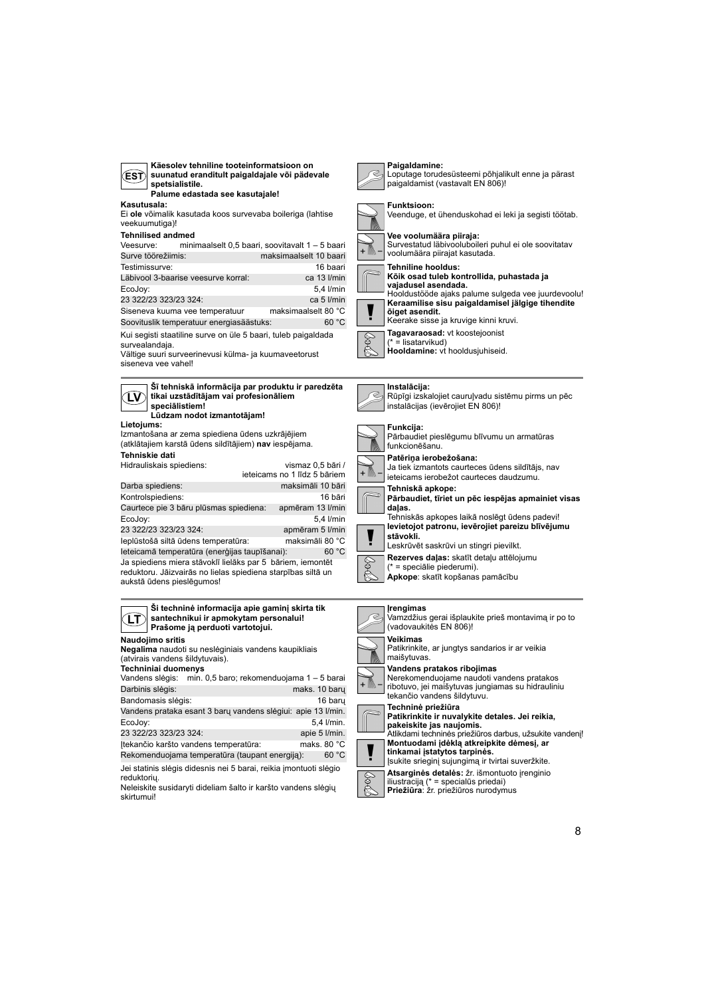| Käesolev tehniline tooteinformatsioon on<br>suunatud eranditult paigaldajale või pädevale<br>ΈSΤ.<br>spetsialistile.<br>Palume edastada see kasutajale! | Paigaldamine:<br>Loputage torudesüsteemi põhjalikult enne ja pärast<br>paigaldamist (vastavalt EN 806)!                       |
|---------------------------------------------------------------------------------------------------------------------------------------------------------|-------------------------------------------------------------------------------------------------------------------------------|
| Kasutusala:<br>Ei ole võimalik kasutada koos survevaba boileriga (lahtise<br>veekuumutiga)!<br><b>Tehnilised andmed</b>                                 | <b>Funktsioon:</b><br>Veenduge, et ühenduskohad ei leki ja segisti töötab.<br>Vee voolumäära piiraja:                         |
| minimaalselt 0,5 baari, soovitavalt 1 - 5 baari<br>Veesurve:<br>maksimaalselt 10 baari<br>Surve töörežiimis:                                            | Survestatud läbivooluboileri puhul ei ole soovitatav<br>voolumäära piirajat kasutada.                                         |
| Testimissurve:<br>16 baari                                                                                                                              | Tehniline hooldus:                                                                                                            |
| Läbivool 3-baarise veesurve korral:<br>ca 13 l/min                                                                                                      | Kõik osad tuleb kontrollida, puhastada ja                                                                                     |
| EcoJov:<br>5.4 l/min                                                                                                                                    | vajadusel asendada.<br>Hooldustööde ajaks palume sulgeda vee juurdevoolu!                                                     |
| 23 322/23 323/23 324:<br>ca 5 l/min                                                                                                                     | Keraamilise sisu paigaldamisel jälgige tihendite                                                                              |
| maksimaalselt 80 °C<br>Siseneva kuuma vee temperatuur<br>Soovituslik temperatuur energiasäästuks:<br>60 °C                                              | õiget asendit.<br>Keerake sisse ja kruvige kinni kruvi.                                                                       |
| Kui segisti staatiline surve on üle 5 baari, tuleb paigaldada<br>survealandaja.                                                                         | Tagavaraosad: vt koostejoonist<br>$(* =$ lisatarvikud)                                                                        |
| Vältige suuri surveerinevusi külma- ja kuumaveetorust<br>siseneva vee vahel!                                                                            | Hooldamine: vt hooldusjuhiseid.                                                                                               |
| Šī tehniskā informācija par produktu ir paredzēta                                                                                                       | Instalacija:                                                                                                                  |
| tikai uzstādītājam vai profesionāliem<br>LV)<br>specialistiem!<br>Lūdzam nodot izmantotājam!                                                            | Rūpīgi izskalojiet cauruļvadu sistēmu pirms un pēc<br>instalācijas (ievērojiet EN 806)!                                       |
| Lietojums:<br>Izmantošana ar zema spiediena ūdens uzkrājējiem<br>(atklātajiem karstā ūdens sildītājiem) nav iespējama.                                  | Funkcija:<br>Pārbaudiet pieslēgumu blīvumu un armatūras<br>funkcionēšanu.                                                     |
| Tehniskie dati                                                                                                                                          | Patēriņa ierobežošana:                                                                                                        |
| Hidrauliskais spiediens:<br>vismaz 0,5 bāri /<br>ieteicams no 1 līdz 5 bāriem                                                                           | Ja tiek izmantots caurteces ūdens sildītājs, nav<br>ieteicams ierobežot caurteces daudzumu.                                   |
| Darba spiediens:<br>maksimāli 10 bāri                                                                                                                   | Tehniskā apkope:                                                                                                              |
| Kontrolspiediens:<br>16 bāri                                                                                                                            | Pārbaudiet, tīriet un pēc iespējas apmainiet visas                                                                            |
| Caurtece pie 3 bāru plūsmas spiediena:<br>apmēram 13 l/min                                                                                              | dalas.                                                                                                                        |
| EcoJoy:<br>5.4 l/min                                                                                                                                    | Tehniskās apkopes laikā noslēgt ūdens padevi!<br>levietojot patronu, ievērojiet pareizu blīvējumu                             |
| 23 322/23 323/23 324:<br>apmēram 5 l/min<br>maksimāli 80 °C<br>leplūstošā siltā ūdens temperatūra:                                                      | stävokli.<br>Leskrūvēt saskrūvi un stingri pievilkt.                                                                          |
| leteicamā temperatūra (enerģijas taupīšanai):<br>60 °C                                                                                                  |                                                                                                                               |
| Ja spiediens miera stāvoklī lielāks par 5 bāriem, iemontēt<br>reduktoru. Jāizvairās no lielas spiediena starpības siltā un                              | Rezerves daļas: skatīt detaļu attēlojumu<br>(* = speciālie piederumi).                                                        |
| aukstā ūdens pieslēgumos!                                                                                                                               | Apkope: skatīt kopšanas pamācību                                                                                              |
| Ši techninė informacija apie gaminį skirta tik<br>santechnikui ir apmokytam personalui!<br>ΓL)<br>Prašome ją perduoti vartotojui.                       | <b>Irengimas</b><br>Vamzdžius gerai išplaukite prieš montavimą ir po to<br>(vadovaukitės EN 806)!                             |
| Naudojimo sritis<br>Negalima naudoti su neslėginiais vandens kaupikliais                                                                                | Veikimas<br>Patikrinkite, ar jungtys sandarios ir ar veikia                                                                   |
| (atvirais vandens šildytuvais).                                                                                                                         | maišytuvas.                                                                                                                   |
| Techniniai duomenys                                                                                                                                     | Vandens pratakos ribojimas                                                                                                    |
| Vandens slėgis: min. 0,5 baro; rekomenduojama 1 – 5 barai<br>Darbinis slėgis:<br>maks. 10 bary                                                          | Nerekomenduojame naudoti vandens pratakos<br>ribotuvo, jei maišytuvas jungiamas su hidrauliniu<br>tekančio vandens šildytuvu. |
| Bandomasis slėgis:<br>16 baru                                                                                                                           | Techninė priežiūra                                                                                                            |
| Vandens prataka esant 3 barų vandens slėgiui: apie 13 l/min.                                                                                            | Patikrinkite ir nuvalykite detales. Jei reikia,                                                                               |
| EcoJoy:<br>5,4 l/min.                                                                                                                                   | pakeiskite jas naujomis.                                                                                                      |
| 23 322/23 323/23 324:<br>apie 5 l/min.                                                                                                                  | Atlikdami techninės priežiūros darbus, užsukite vandenį!<br>Montuodami įdėklą atkreipkite dėmesį, ar                          |
| Itekančio karšto vandens temperatūra:<br>maks. 80 $^{\circ}$ C<br>Rekomenduojama temperatūra (taupant energiją):<br>60 °C                               | tinkamai įstatytos tarpinės.<br>Isukite srieginį sujungimą ir tvirtai suveržkite.                                             |

Bol

Jei statinis slėgis didesnis nei 5 barai, reikia įmontuoti slėgio

reduktorių. Neleiskite susidaryti dideliam šalto ir karšto vandens slėgių skirtumui!

**Atsarginės detalės:** žr. išmontuoto įrenginio iliustraciją (\* = specialūs priedai) **Priežiūra**: žr. priežiūros nurodymus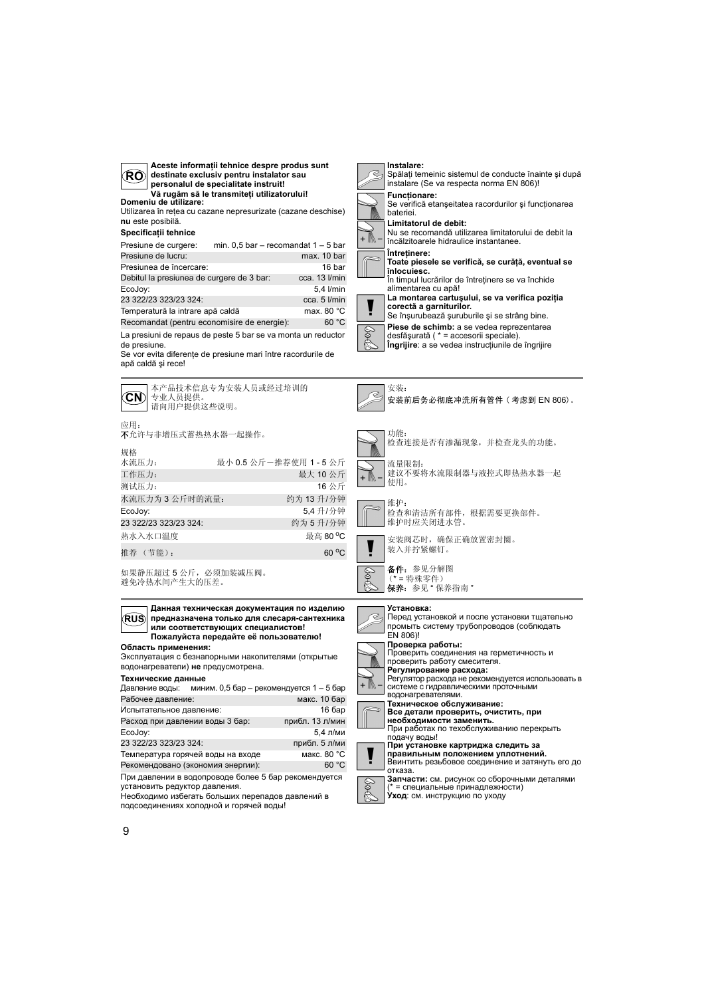

**La montarea cartuşului, se va verifica poziţia** 

Se înşurubează şuruburile şi se strâng bine. **Piese de schimb:** a se vedea reprezentarea

desfăşurată ( \* = accesorii speciale). **Îngrijire**: a se vedea instrucţiunile de îngrijire

**Область применения:** Эксплуатация с безнапорными накопителями (открытые водонагреватели) **не** предусмотрена. **Технические данные RUS Пожалуйста передайте её пользователю!**

При давлении в водопроводе более 5 бар рекомендуется Давление воды: миним. 0,5 бар – рекомендуется 1 – 5 бар Рабочее давление: Испытательное давление: 16 бар Расход при давлении воды 3 бар: прибл. 13 л/мин EcoJoy: 5,4 л/ми 23 322/23 323/23 324: прибл. 5 л/ми Температура горячей воды на входе Рекомендовано (экономия энергии): 60 °C

установить редуктор давления. Необходимо избегать больших перепадов давлений в

подсоединениях холодной и горячей воды!

# 安装阀芯时,确保正确放置密封圈。 、<br>保养: 参见"保养指南" Перед установкой и после установки тщательно промыть систему трубопроводов (соблюдать



**правильным положением уплотнений.**<br>Ввинтить резьбовое соединение и затянуть его до<br>отказа.

Ş

**Запчасти:** см. рисунок со сборочными деталями (\* = специальные принадлежности) **Уход**: см. инструкцию по уходу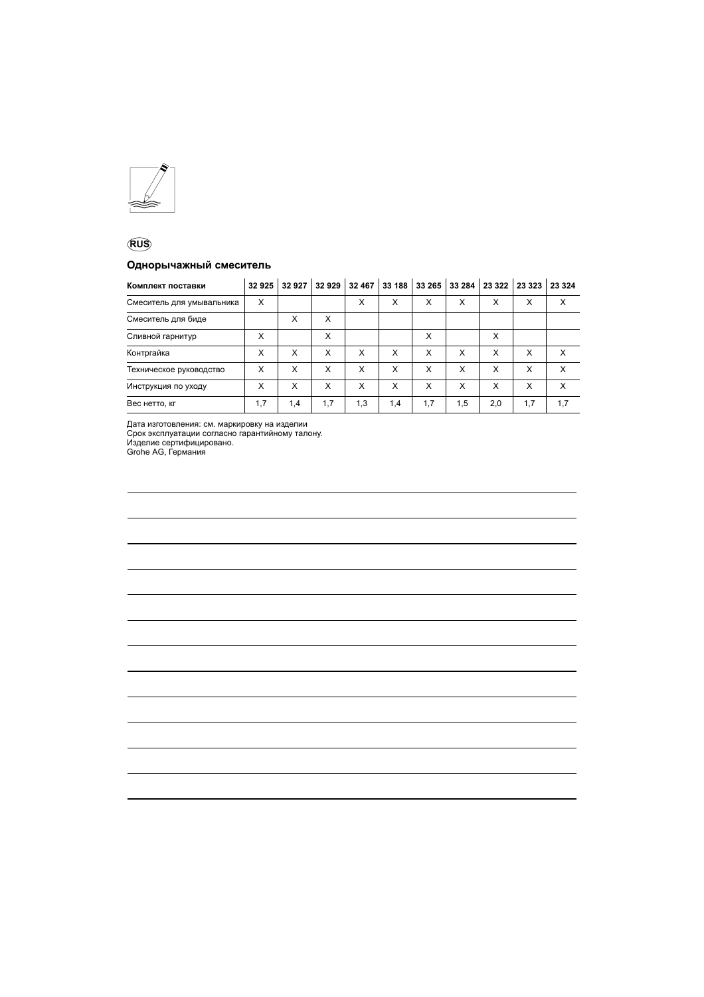

## **RUS**

## **Однорычажный смеситель**

| Комплект поставки         | 32925 | 32927 | 32929 | 32 467 | 33 188 | 33 265 | 33 284 | 23 3 22 | 23 3 23 | 23 3 24 |
|---------------------------|-------|-------|-------|--------|--------|--------|--------|---------|---------|---------|
| Смеситель для умывальника | X     |       |       | X      | X      | X      | x      | X       | X       | X       |
| Смеситель для биде        |       | X     | X     |        |        |        |        |         |         |         |
| Сливной гарнитур          | X     |       | X     |        |        | X      |        | X       |         |         |
| Контргайка                | x     | X     | x     | X      | X      | X      | x      | X       | x       | X       |
| Техническое руководство   | X     | X     | x     | X      | X      | X      | x      | X       | X       | X       |
| Инструкция по уходу       | X     | X     | x     | X      | X      | X      | x      | x       | x       | X       |
| Вес нетто, кг             | 1,7   | 1,4   | 1,7   | 1,3    | 1,4    | 1,7    | 1,5    | 2,0     | 1,7     | 1,7     |

Дата изготовления: см. маркировку на изделии

Срок эксплуатации согласно гарантийному талону. Изделие сертифицировано. Grohe AG, Германия